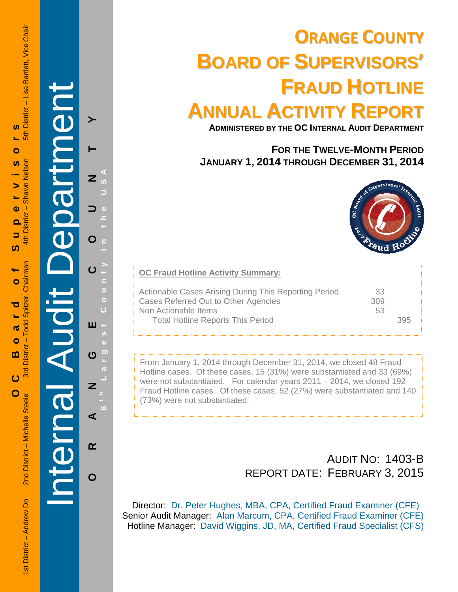1st District – Andrew Do 2nd District – Shawn District – Shawn District – Shawn District – Shawn District – Shawn Nelson 2nd District – Andrew District – Andrew District – Andrew District – Andrew District – Andrew Distric 5th District - Lisa Bartlett, Vice Chair **OC Board of Supervisors**   $\boldsymbol{\omega}$ Ł.  $\bullet$ Shawn Nelson  $\boldsymbol{\omega}$  $\blacktriangleright$ L, 4th District - $\bullet$  $\overline{\mathbf{o}}$  $\overline{\phantom{a}}$ ഗ Spitzer, Chairman  $\bullet$ ರ 3rd District - Todd  $\boldsymbol{\varpi}$  $\bullet$ m  $\overline{c}$ 

í

O<br>C

Internal Audit Department

**ORANGE COUNTY 6 t h Lar**

ш

**U** 

Z

 $\blacktriangleleft$ 

 $\alpha$ 

 $\mathbf O$ 

**g**

**est Count**

**y in the USA** 

 $\blacktriangleright$ 

Z

O

 $\mathbf O$ 

# **ORANGE COUNTY BOARD OF SUPERVISORS' FRAUD HOTLINE ANNUAL ACTIVITY REPORT**

**ADMINISTERED BY THE OC INTERNAL AUDIT DEPARTMENT**

# **FOR THE TWELVE-MONTH PERIOD JANUARY 1, 2014 THROUGH DECEMBER 31, 2014**



| <b>OC Fraud Hotline Activity Summary:</b>                                                                             |                 |  |
|-----------------------------------------------------------------------------------------------------------------------|-----------------|--|
| Actionable Cases Arising During This Reporting Period<br>Cases Referred Out to Other Agencies<br>Non Actionable Items | 33<br>309<br>53 |  |
| <b>Total Hotline Reports This Period</b>                                                                              |                 |  |

From January 1, 2014 through December 31, 2014, we closed 48 Fraud Hotline cases. Of these cases, 15 (31%) were substantiated and 33 (69%) were not substantiated. For calendar years 2011 – 2014, we closed 192 Fraud Hotline cases. Of these cases, 52 (27%) were substantiated and 140 (73%) were not substantiated.

# AUDIT NO: 1403-B REPORT DATE: FEBRUARY 3, 2015

Director: Dr. Peter Hughes, MBA, CPA, Certified Fraud Examiner (CFE) Senior Audit Manager: Alan Marcum, CPA, Certified Fraud Examiner (CFE) Hotline Manager: David Wiggins, JD, MA, Certified Fraud Specialist (CFS)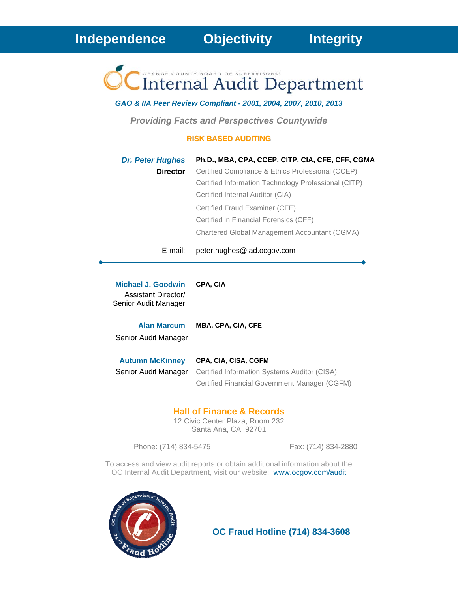ORANGE COUNTY BOARD OF SUPERVISORS' **Internal Audit Department** 

*GAO & IIA Peer Review Compliant - 2001, 2004, 2007, 2010, 2013* 

*Providing Facts and Perspectives Countywide* 

#### **RISK BASED AUDITING**

| <b>Dr. Peter Hughes</b> | Ph.D., MBA, CPA, CCEP, CITP, CIA, CFE, CFF, CGMA     |
|-------------------------|------------------------------------------------------|
| <b>Director</b>         | Certified Compliance & Ethics Professional (CCEP)    |
|                         | Certified Information Technology Professional (CITP) |
|                         | Certified Internal Auditor (CIA)                     |
|                         | Certified Fraud Examiner (CFE)                       |
|                         | Certified in Financial Forensics (CFF)               |
|                         | Chartered Global Management Accountant (CGMA)        |
|                         |                                                      |

#### E-mail: peter.hughes@iad.ocgov.com

**Michael J. Goodwin CPA, CIA** Assistant Director/ Senior Audit Manager

**Alan Marcum MBA, CPA, CIA, CFE** Senior Audit Manager

| <b>Autumn McKinney</b> | <b>CPA, CIA, CISA, CGFM</b>                   |  |  |  |  |
|------------------------|-----------------------------------------------|--|--|--|--|
| Senior Audit Manager   | Certified Information Systems Auditor (CISA)  |  |  |  |  |
|                        | Certified Financial Government Manager (CGFM) |  |  |  |  |

#### **Hall of Finance & Records**

12 Civic Center Plaza, Room 232 Santa Ana, CA 92701

Phone: (714) 834-5475 Fax: (714) 834-2880

To access and view audit reports or obtain additional information about the OC Internal Audit Department, visit our website: www.ocgov.com/audit



 **OC Fraud Hotline (714) 834-3608**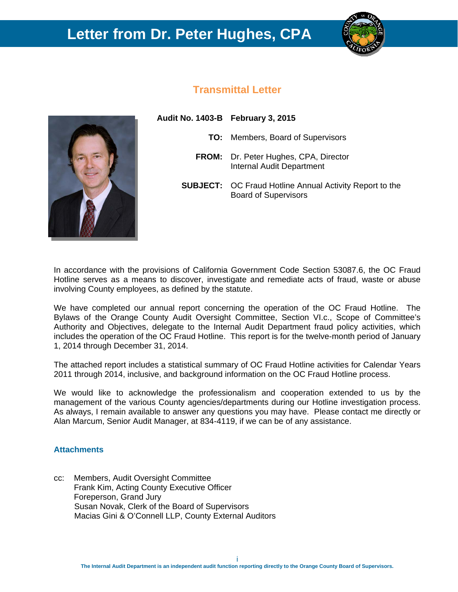# **Letter from Dr. Peter Hughes, CPA**



# **Transmittal Letter**



| Audit No. 1403-B February 3, 2015 |                                                                                               |
|-----------------------------------|-----------------------------------------------------------------------------------------------|
|                                   | <b>TO:</b> Members, Board of Supervisors                                                      |
|                                   | <b>FROM:</b> Dr. Peter Hughes, CPA, Director<br>Internal Audit Department                     |
|                                   | <b>SUBJECT:</b> OC Fraud Hotline Annual Activity Report to the<br><b>Board of Supervisors</b> |
|                                   |                                                                                               |

In accordance with the provisions of California Government Code Section 53087.6, the OC Fraud Hotline serves as a means to discover, investigate and remediate acts of fraud, waste or abuse involving County employees, as defined by the statute.

We have completed our annual report concerning the operation of the OC Fraud Hotline. The Bylaws of the Orange County Audit Oversight Committee, Section VI.c., Scope of Committee's Authority and Objectives, delegate to the Internal Audit Department fraud policy activities, which includes the operation of the OC Fraud Hotline. This report is for the twelve-month period of January 1, 2014 through December 31, 2014.

The attached report includes a statistical summary of OC Fraud Hotline activities for Calendar Years 2011 through 2014, inclusive, and background information on the OC Fraud Hotline process.

We would like to acknowledge the professionalism and cooperation extended to us by the management of the various County agencies/departments during our Hotline investigation process. As always, I remain available to answer any questions you may have. Please contact me directly or Alan Marcum, Senior Audit Manager, at 834-4119, if we can be of any assistance.

#### **Attachments**

cc: Members, Audit Oversight Committee Frank Kim, Acting County Executive Officer Foreperson, Grand Jury Susan Novak, Clerk of the Board of Supervisors Macias Gini & O'Connell LLP, County External Auditors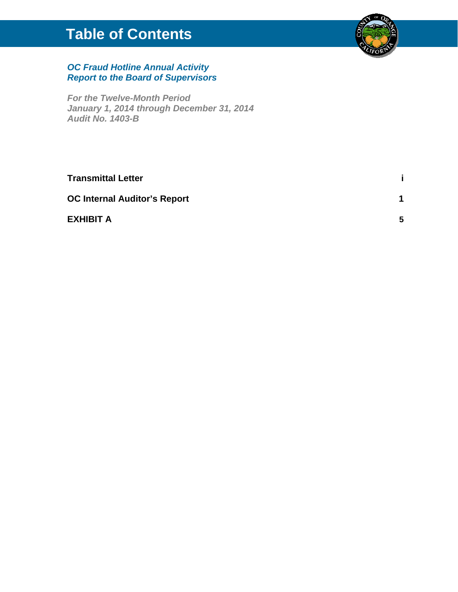# **Table of Contents**



### *OC Fraud Hotline Annual Activity Report to the Board of Supervisors*

*For the Twelve-Month Period January 1, 2014 through December 31, 2014 Audit No. 1403-B* 

| <b>Transmittal Letter</b>           |    |
|-------------------------------------|----|
| <b>OC Internal Auditor's Report</b> |    |
| <b>EXHIBIT A</b>                    | 5. |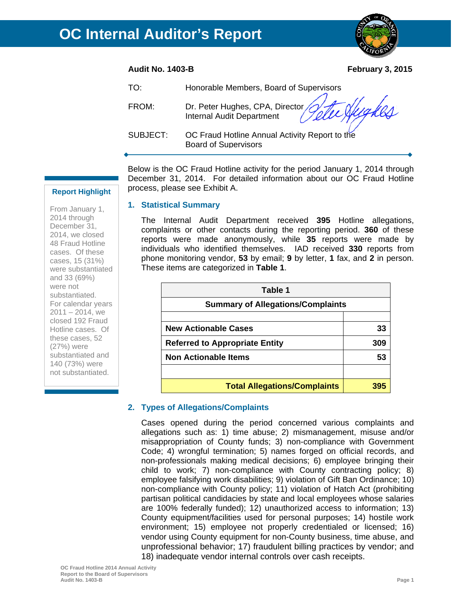#### **Audit No. 1403-B February 3, 2015**

| TO:      | Honorable Members, Board of Supervisors                                       |
|----------|-------------------------------------------------------------------------------|
| FROM:    | Dr. Peter Hughes, CPA, Director Julie Augustics                               |
| SUBJECT: | OC Fraud Hotline Annual Activity Report to the<br><b>Board of Supervisors</b> |

Below is the OC Fraud Hotline activity for the period January 1, 2014 through December 31, 2014. For detailed information about our OC Fraud Hotline process, please see Exhibit A.

#### **1. Statistical Summary**

The Internal Audit Department received **395** Hotline allegations, complaints or other contacts during the reporting period. **360** of these reports were made anonymously, while **35** reports were made by individuals who identified themselves. IAD received **330** reports from phone monitoring vendor, **53** by email; **9** by letter, **1** fax, and **2** in person. These items are categorized in **Table 1**.

| Table 1                                  |     |
|------------------------------------------|-----|
| <b>Summary of Allegations/Complaints</b> |     |
|                                          |     |
| <b>New Actionable Cases</b>              | 33  |
| <b>Referred to Appropriate Entity</b>    | 309 |
| <b>Non Actionable Items</b>              | 53  |
|                                          |     |
| <b>Total Allegations/Complaints</b>      |     |

#### **2. Types of Allegations/Complaints**

Cases opened during the period concerned various complaints and allegations such as: 1) time abuse; 2) mismanagement, misuse and/or misappropriation of County funds; 3) non-compliance with Government Code; 4) wrongful termination; 5) names forged on official records, and non-professionals making medical decisions; 6) employee bringing their child to work; 7) non-compliance with County contracting policy; 8) employee falsifying work disabilities; 9) violation of Gift Ban Ordinance; 10) non-compliance with County policy; 11) violation of Hatch Act (prohibiting partisan political candidacies by state and local employees whose salaries are 100% federally funded); 12) unauthorized access to information; 13) County equipment/facilities used for personal purposes; 14) hostile work environment; 15) employee not properly credentialed or licensed; 16) vendor using County equipment for non-County business, time abuse, and unprofessional behavior; 17) fraudulent billing practices by vendor; and 18) inadequate vendor internal controls over cash receipts.

From January 1, 2014 through December 31, 2014, we closed 48 Fraud Hotline cases. Of these cases, 15 (31%) were substantiated and 33 (69%) were not substantiated. For calendar years  $2011 - 2014$ , we closed 192 Fraud Hotline cases. Of these cases, 52 (27%) were substantiated and 140 (73%) were not substantiated.

**Report Highlight**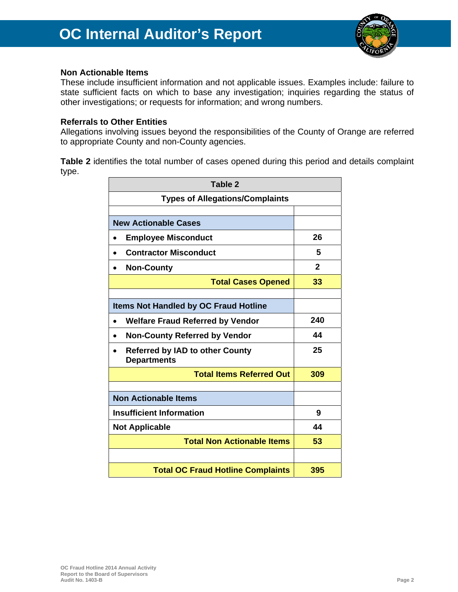

#### **Non Actionable Items**

These include insufficient information and not applicable issues. Examples include: failure to state sufficient facts on which to base any investigation; inquiries regarding the status of other investigations; or requests for information; and wrong numbers.

#### **Referrals to Other Entities**

Allegations involving issues beyond the responsibilities of the County of Orange are referred to appropriate County and non-County agencies.

**Table 2** identifies the total number of cases opened during this period and details complaint type.

| Table 2                                                      |              |
|--------------------------------------------------------------|--------------|
| <b>Types of Allegations/Complaints</b>                       |              |
|                                                              |              |
| <b>New Actionable Cases</b>                                  |              |
| <b>Employee Misconduct</b>                                   | 26           |
| <b>Contractor Misconduct</b><br>$\bullet$                    | 5            |
| <b>Non-County</b>                                            | $\mathbf{2}$ |
| <b>Total Cases Opened</b>                                    | 33           |
|                                                              |              |
| <b>Items Not Handled by OC Fraud Hotline</b>                 |              |
| <b>Welfare Fraud Referred by Vendor</b>                      | 240          |
| <b>Non-County Referred by Vendor</b>                         | 44           |
| <b>Referred by IAD to other County</b><br><b>Departments</b> | 25           |
| <b>Total Items Referred Out</b>                              | 309          |
|                                                              |              |
| <b>Non Actionable Items</b>                                  |              |
| <b>Insufficient Information</b>                              | 9            |
| <b>Not Applicable</b>                                        | 44           |
| <b>Total Non Actionable Items</b>                            | 53           |
|                                                              |              |
| <b>Total OC Fraud Hotline Complaints</b>                     | 395          |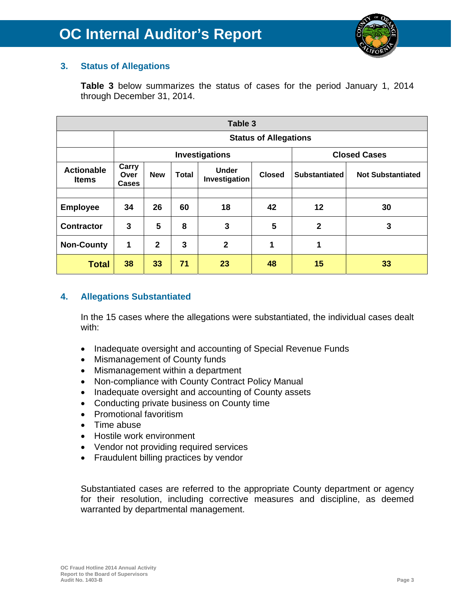

# **3. Status of Allegations**

**Table 3** below summarizes the status of cases for the period January 1, 2014 through December 31, 2014.

| Table 3                           |                                                      |                                       |    |                               |               |                      |                          |  |  |  |  |
|-----------------------------------|------------------------------------------------------|---------------------------------------|----|-------------------------------|---------------|----------------------|--------------------------|--|--|--|--|
|                                   |                                                      | <b>Status of Allegations</b>          |    |                               |               |                      |                          |  |  |  |  |
|                                   |                                                      | <b>Closed Cases</b><br>Investigations |    |                               |               |                      |                          |  |  |  |  |
| <b>Actionable</b><br><b>Items</b> | Carry<br><b>New</b><br><b>Total</b><br>Over<br>Cases |                                       |    | <b>Under</b><br>Investigation | <b>Closed</b> | <b>Substantiated</b> | <b>Not Substantiated</b> |  |  |  |  |
|                                   |                                                      |                                       |    |                               |               |                      |                          |  |  |  |  |
| <b>Employee</b>                   | 34                                                   | 26                                    | 60 | 18                            | 42            | $12 \,$              | 30                       |  |  |  |  |
| <b>Contractor</b>                 | 3                                                    | 5                                     | 8  | 3                             | 5             | $\mathbf{2}$         | 3                        |  |  |  |  |
| <b>Non-County</b>                 | 1                                                    | $\overline{2}$                        | 3  | $\overline{2}$                | 1             | 1                    |                          |  |  |  |  |
| <b>Total</b>                      | 38                                                   | 33                                    | 71 | 23                            | 48            | 15                   | 33                       |  |  |  |  |

# **4. Allegations Substantiated**

In the 15 cases where the allegations were substantiated, the individual cases dealt with:

- Inadequate oversight and accounting of Special Revenue Funds
- Mismanagement of County funds
- Mismanagement within a department
- Non-compliance with County Contract Policy Manual
- Inadequate oversight and accounting of County assets
- Conducting private business on County time
- Promotional favoritism
- Time abuse
- Hostile work environment
- Vendor not providing required services
- Fraudulent billing practices by vendor

Substantiated cases are referred to the appropriate County department or agency for their resolution, including corrective measures and discipline, as deemed warranted by departmental management.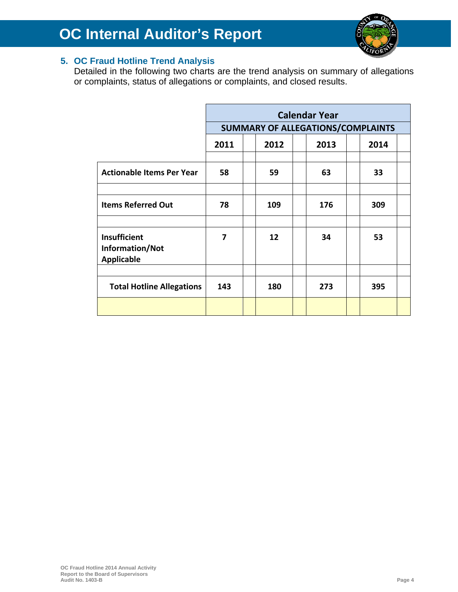

# **5. OC Fraud Hotline Trend Analysis**

Detailed in the following two charts are the trend analysis on summary of allegations or complaints, status of allegations or complaints, and closed results.

|                                                      | <b>Calendar Year</b> |                                   |     |  |     |  |     |  |  |
|------------------------------------------------------|----------------------|-----------------------------------|-----|--|-----|--|-----|--|--|
|                                                      |                      | SUMMARY OF ALLEGATIONS/COMPLAINTS |     |  |     |  |     |  |  |
|                                                      | 2011                 | 2012<br>2013<br>2014              |     |  |     |  |     |  |  |
|                                                      |                      |                                   |     |  |     |  |     |  |  |
| <b>Actionable Items Per Year</b>                     | 58                   |                                   | 59  |  | 63  |  | 33  |  |  |
|                                                      |                      |                                   |     |  |     |  |     |  |  |
| <b>Items Referred Out</b>                            | 78                   |                                   | 109 |  | 176 |  | 309 |  |  |
|                                                      |                      |                                   |     |  |     |  |     |  |  |
| Insufficient<br>Information/Not<br><b>Applicable</b> | 7                    |                                   | 12  |  | 34  |  | 53  |  |  |
|                                                      |                      |                                   |     |  |     |  |     |  |  |
| <b>Total Hotline Allegations</b>                     | 143                  |                                   | 180 |  | 273 |  | 395 |  |  |
|                                                      |                      |                                   |     |  |     |  |     |  |  |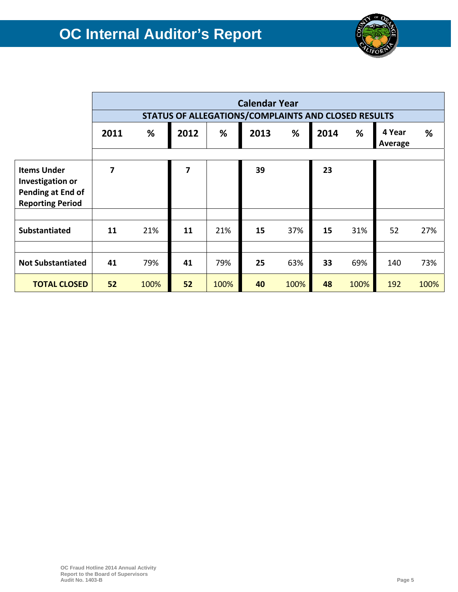

|                                                                                               | <b>Calendar Year</b>                                |      |      |      |      |      |      |      |                   |      |
|-----------------------------------------------------------------------------------------------|-----------------------------------------------------|------|------|------|------|------|------|------|-------------------|------|
|                                                                                               | STATUS OF ALLEGATIONS/COMPLAINTS AND CLOSED RESULTS |      |      |      |      |      |      |      |                   |      |
|                                                                                               | 2011                                                | %    | 2012 | %    | 2013 | %    | 2014 | %    | 4 Year<br>Average | %    |
|                                                                                               |                                                     |      |      |      |      |      |      |      |                   |      |
| <b>Items Under</b><br><b>Investigation or</b><br>Pending at End of<br><b>Reporting Period</b> | 7                                                   |      | 7    |      | 39   |      | 23   |      |                   |      |
|                                                                                               |                                                     |      |      |      |      |      |      |      |                   |      |
| Substantiated                                                                                 | 11                                                  | 21%  | 11   | 21%  | 15   | 37%  | 15   | 31%  | 52                | 27%  |
|                                                                                               |                                                     |      |      |      |      |      |      |      |                   |      |
| <b>Not Substantiated</b>                                                                      | 41                                                  | 79%  | 41   | 79%  | 25   | 63%  | 33   | 69%  | 140               | 73%  |
| <b>TOTAL CLOSED</b>                                                                           | 52                                                  | 100% | 52   | 100% | 40   | 100% | 48   | 100% | 192               | 100% |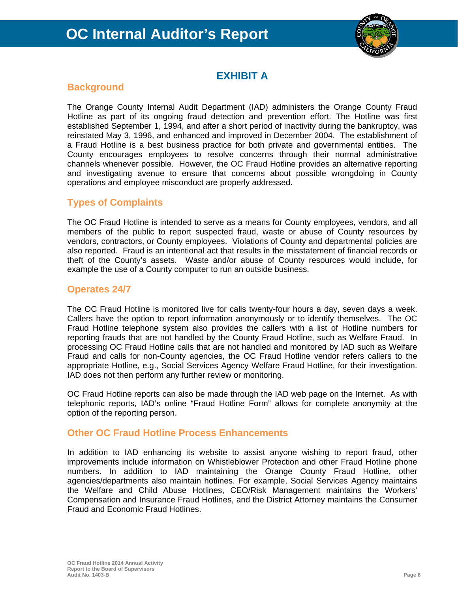

# **EXHIBIT A**

# **Background**

The Orange County Internal Audit Department (IAD) administers the Orange County Fraud Hotline as part of its ongoing fraud detection and prevention effort. The Hotline was first established September 1, 1994, and after a short period of inactivity during the bankruptcy, was reinstated May 3, 1996, and enhanced and improved in December 2004. The establishment of a Fraud Hotline is a best business practice for both private and governmental entities. The County encourages employees to resolve concerns through their normal administrative channels whenever possible. However, the OC Fraud Hotline provides an alternative reporting and investigating avenue to ensure that concerns about possible wrongdoing in County operations and employee misconduct are properly addressed.

# **Types of Complaints**

The OC Fraud Hotline is intended to serve as a means for County employees, vendors, and all members of the public to report suspected fraud, waste or abuse of County resources by vendors, contractors, or County employees. Violations of County and departmental policies are also reported. Fraud is an intentional act that results in the misstatement of financial records or theft of the County's assets. Waste and/or abuse of County resources would include, for example the use of a County computer to run an outside business.

# **Operates 24/7**

The OC Fraud Hotline is monitored live for calls twenty-four hours a day, seven days a week. Callers have the option to report information anonymously or to identify themselves. The OC Fraud Hotline telephone system also provides the callers with a list of Hotline numbers for reporting frauds that are not handled by the County Fraud Hotline, such as Welfare Fraud. In processing OC Fraud Hotline calls that are not handled and monitored by IAD such as Welfare Fraud and calls for non-County agencies, the OC Fraud Hotline vendor refers callers to the appropriate Hotline, e.g., Social Services Agency Welfare Fraud Hotline, for their investigation. IAD does not then perform any further review or monitoring.

OC Fraud Hotline reports can also be made through the IAD web page on the Internet. As with telephonic reports, IAD's online "Fraud Hotline Form" allows for complete anonymity at the option of the reporting person.

# **Other OC Fraud Hotline Process Enhancements**

In addition to IAD enhancing its website to assist anyone wishing to report fraud, other improvements include information on Whistleblower Protection and other Fraud Hotline phone numbers. In addition to IAD maintaining the Orange County Fraud Hotline, other agencies/departments also maintain hotlines. For example, Social Services Agency maintains the Welfare and Child Abuse Hotlines, CEO/Risk Management maintains the Workers' Compensation and Insurance Fraud Hotlines, and the District Attorney maintains the Consumer Fraud and Economic Fraud Hotlines.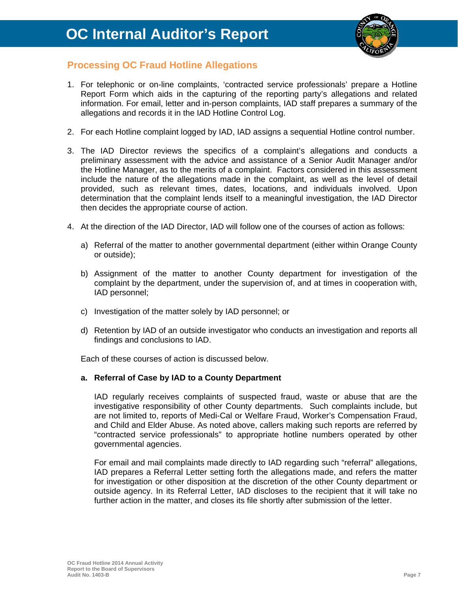

# **Processing OC Fraud Hotline Allegations**

- 1. For telephonic or on-line complaints, 'contracted service professionals' prepare a Hotline Report Form which aids in the capturing of the reporting party's allegations and related information. For email, letter and in-person complaints, IAD staff prepares a summary of the allegations and records it in the IAD Hotline Control Log.
- 2. For each Hotline complaint logged by IAD, IAD assigns a sequential Hotline control number.
- 3. The IAD Director reviews the specifics of a complaint's allegations and conducts a preliminary assessment with the advice and assistance of a Senior Audit Manager and/or the Hotline Manager, as to the merits of a complaint. Factors considered in this assessment include the nature of the allegations made in the complaint, as well as the level of detail provided, such as relevant times, dates, locations, and individuals involved. Upon determination that the complaint lends itself to a meaningful investigation, the IAD Director then decides the appropriate course of action.
- 4. At the direction of the IAD Director, IAD will follow one of the courses of action as follows:
	- a) Referral of the matter to another governmental department (either within Orange County or outside);
	- b) Assignment of the matter to another County department for investigation of the complaint by the department, under the supervision of, and at times in cooperation with, IAD personnel;
	- c) Investigation of the matter solely by IAD personnel; or
	- d) Retention by IAD of an outside investigator who conducts an investigation and reports all findings and conclusions to IAD.

Each of these courses of action is discussed below.

#### **a. Referral of Case by IAD to a County Department**

IAD regularly receives complaints of suspected fraud, waste or abuse that are the investigative responsibility of other County departments. Such complaints include, but are not limited to, reports of Medi-Cal or Welfare Fraud, Worker's Compensation Fraud, and Child and Elder Abuse. As noted above, callers making such reports are referred by "contracted service professionals" to appropriate hotline numbers operated by other governmental agencies.

For email and mail complaints made directly to IAD regarding such "referral" allegations, IAD prepares a Referral Letter setting forth the allegations made, and refers the matter for investigation or other disposition at the discretion of the other County department or outside agency. In its Referral Letter, IAD discloses to the recipient that it will take no further action in the matter, and closes its file shortly after submission of the letter.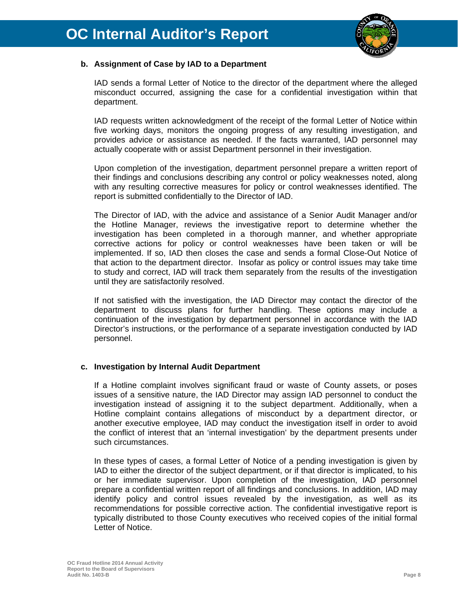

#### **b. Assignment of Case by IAD to a Department**

IAD sends a formal Letter of Notice to the director of the department where the alleged misconduct occurred, assigning the case for a confidential investigation within that department.

IAD requests written acknowledgment of the receipt of the formal Letter of Notice within five working days, monitors the ongoing progress of any resulting investigation, and provides advice or assistance as needed. If the facts warranted, IAD personnel may actually cooperate with or assist Department personnel in their investigation.

Upon completion of the investigation, department personnel prepare a written report of their findings and conclusions describing any control or policy weaknesses noted, along with any resulting corrective measures for policy or control weaknesses identified. The report is submitted confidentially to the Director of IAD.

The Director of IAD, with the advice and assistance of a Senior Audit Manager and/or the Hotline Manager, reviews the investigative report to determine whether the investigation has been completed in a thorough manner, and whether appropriate corrective actions for policy or control weaknesses have been taken or will be implemented. If so, IAD then closes the case and sends a formal Close-Out Notice of that action to the department director. Insofar as policy or control issues may take time to study and correct, IAD will track them separately from the results of the investigation until they are satisfactorily resolved.

If not satisfied with the investigation, the IAD Director may contact the director of the department to discuss plans for further handling. These options may include a continuation of the investigation by department personnel in accordance with the IAD Director's instructions, or the performance of a separate investigation conducted by IAD personnel.

#### **c. Investigation by Internal Audit Department**

If a Hotline complaint involves significant fraud or waste of County assets, or poses issues of a sensitive nature, the IAD Director may assign IAD personnel to conduct the investigation instead of assigning it to the subject department. Additionally, when a Hotline complaint contains allegations of misconduct by a department director, or another executive employee, IAD may conduct the investigation itself in order to avoid the conflict of interest that an 'internal investigation' by the department presents under such circumstances.

In these types of cases, a formal Letter of Notice of a pending investigation is given by IAD to either the director of the subject department, or if that director is implicated, to his or her immediate supervisor. Upon completion of the investigation, IAD personnel prepare a confidential written report of all findings and conclusions. In addition, IAD may identify policy and control issues revealed by the investigation, as well as its recommendations for possible corrective action. The confidential investigative report is typically distributed to those County executives who received copies of the initial formal Letter of Notice.